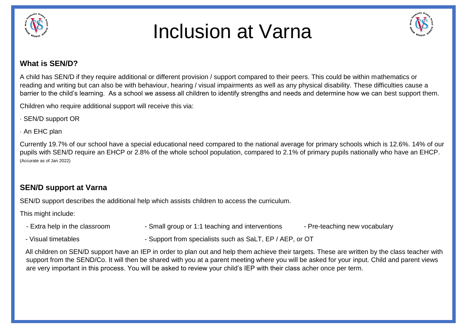



### **What is SEN/D?**

A child has SEN/D if they require additional or different provision / support compared to their peers. This could be within mathematics or reading and writing but can also be with behaviour, hearing / visual impairments as well as any physical disability. These difficulties cause a barrier to the child's learning. As a school we assess all children to identify strengths and needs and determine how we can best support them.

Children who require additional support will receive this via:

- · SEN/D support OR
- · An EHC plan

Currently 19.7% of our school have a special educational need compared to the national average for primary schools which is 12.6%. 14% of our pupils with SEN/D require an EHCP or 2.8% of the whole school population, compared to 2.1% of primary pupils nationally who have an EHCP. (Accurate as of Jan 2022)

## **SEN/D support at Varna**

SEN/D support describes the additional help which assists children to access the curriculum.

This might include:

- Extra help in the classroom Small group or 1:1 teaching and interventions Pre-teaching new vocabulary
- 
- Visual timetables Support from specialists such as SaLT, EP / AEP, or OT

 All children on SEN/D support have an IEP in order to plan out and help them achieve their targets. These are written by the class teacher with support from the SEND/Co. It will then be shared with you at a parent meeting where you will be asked for your input. Child and parent views are very important in this process. You will be asked to review your child's IEP with their class acher once per term.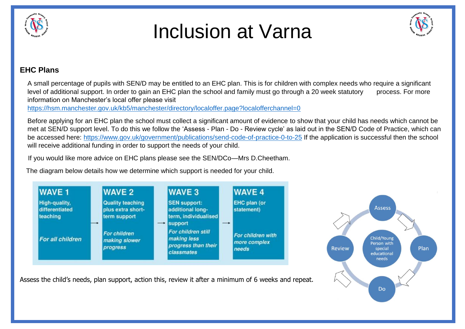



## **EHC Plans**

A small percentage of pupils with SEN/D may be entitled to an EHC plan. This is for children with complex needs who require a significant level of additional support. In order to gain an EHC plan the school and family must go through a 20 week statutory process. For more information on Manchester's local offer please visit

<https://hsm.manchester.gov.uk/kb5/manchester/directory/localoffer.page?localofferchannel=0>

Before applying for an EHC plan the school must collect a significant amount of evidence to show that your child has needs which cannot be met at SEN/D support level. To do this we follow the 'Assess - Plan - Do - Review cycle' as laid out in the SEN/D Code of Practice, which can be accessed here:<https://www.gov.uk/government/publications/send-code-of-practice-0-to-25> If the application is successful then the school will receive additional funding in order to support the needs of your child.

If you would like more advice on EHC plans please see the SEN/DCo—Mrs D.Cheetham.

The diagram below details how we determine which support is needed for your child.





Assess the child's needs, plan support, action this, review it after a minimum of 6 weeks and repeat.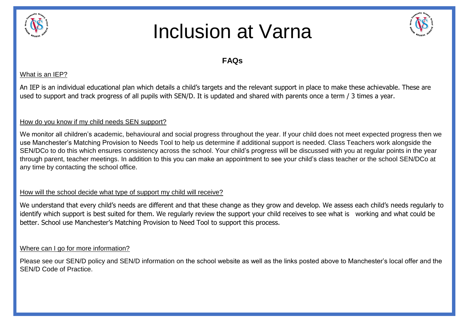



## **FAQs**

#### What is an IEP?

An IEP is an individual educational plan which details a child's targets and the relevant support in place to make these achievable. These are used to support and track progress of all pupils with SEN/D. It is updated and shared with parents once a term / 3 times a year.

### How do you know if my child needs SEN support?

We monitor all children's academic, behavioural and social progress throughout the year. If your child does not meet expected progress then we use Manchester's Matching Provision to Needs Tool to help us determine if additional support is needed. Class Teachers work alongside the SEN/DCo to do this which ensures consistency across the school. Your child's progress will be discussed with you at regular points in the year through parent, teacher meetings. In addition to this you can make an appointment to see your child's class teacher or the school SEN/DCo at any time by contacting the school office.

### How will the school decide what type of support my child will receive?

We understand that every child's needs are different and that these change as they grow and develop. We assess each child's needs regularly to identify which support is best suited for them. We regularly review the support your child receives to see what is working and what could be better. School use Manchester's Matching Provision to Need Tool to support this process.

### Where can I go for more information?

Please see our SEN/D policy and SEN/D information on the school website as well as the links posted above to Manchester's local offer and the SEN/D Code of Practice.